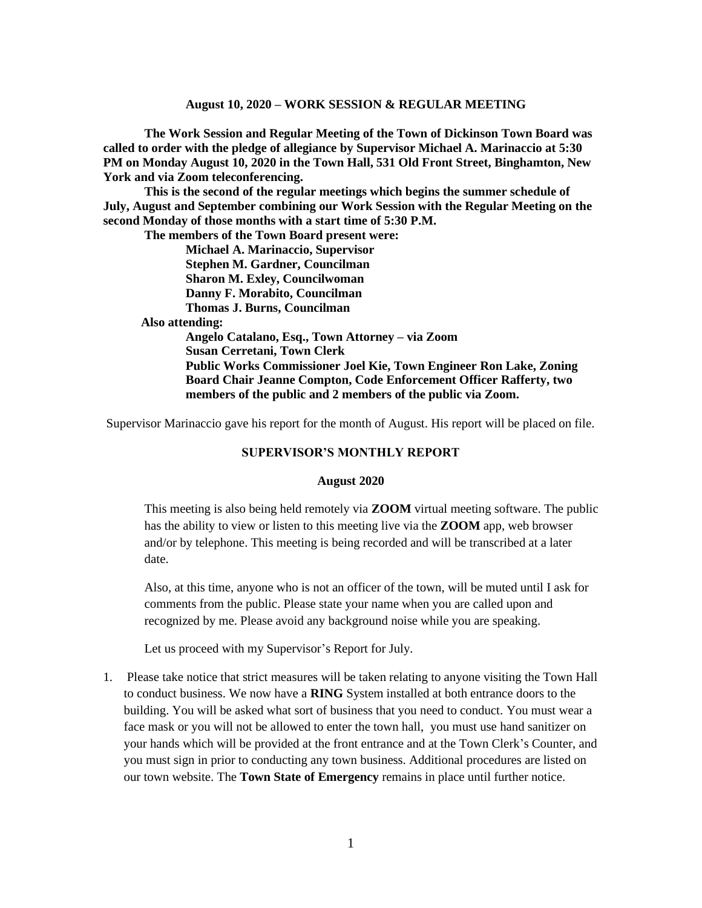**The Work Session and Regular Meeting of the Town of Dickinson Town Board was called to order with the pledge of allegiance by Supervisor Michael A. Marinaccio at 5:30 PM on Monday August 10, 2020 in the Town Hall, 531 Old Front Street, Binghamton, New York and via Zoom teleconferencing.** 

**This is the second of the regular meetings which begins the summer schedule of July, August and September combining our Work Session with the Regular Meeting on the second Monday of those months with a start time of 5:30 P.M.**

**The members of the Town Board present were:**

**Michael A. Marinaccio, Supervisor Stephen M. Gardner, Councilman Sharon M. Exley, Councilwoman Danny F. Morabito, Councilman Thomas J. Burns, Councilman**

 **Also attending:**

**Angelo Catalano, Esq., Town Attorney – via Zoom Susan Cerretani, Town Clerk Public Works Commissioner Joel Kie, Town Engineer Ron Lake, Zoning Board Chair Jeanne Compton, Code Enforcement Officer Rafferty, two members of the public and 2 members of the public via Zoom.**

Supervisor Marinaccio gave his report for the month of August. His report will be placed on file.

#### **SUPERVISOR'S MONTHLY REPORT**

#### **August 2020**

This meeting is also being held remotely via **ZOOM** virtual meeting software. The public has the ability to view or listen to this meeting live via the **ZOOM** app, web browser and/or by telephone. This meeting is being recorded and will be transcribed at a later date.

Also, at this time, anyone who is not an officer of the town, will be muted until I ask for comments from the public. Please state your name when you are called upon and recognized by me. Please avoid any background noise while you are speaking.

Let us proceed with my Supervisor's Report for July.

1. Please take notice that strict measures will be taken relating to anyone visiting the Town Hall to conduct business. We now have a **RING** System installed at both entrance doors to the building. You will be asked what sort of business that you need to conduct. You must wear a face mask or you will not be allowed to enter the town hall, you must use hand sanitizer on your hands which will be provided at the front entrance and at the Town Clerk's Counter, and you must sign in prior to conducting any town business. Additional procedures are listed on our town website. The **Town State of Emergency** remains in place until further notice.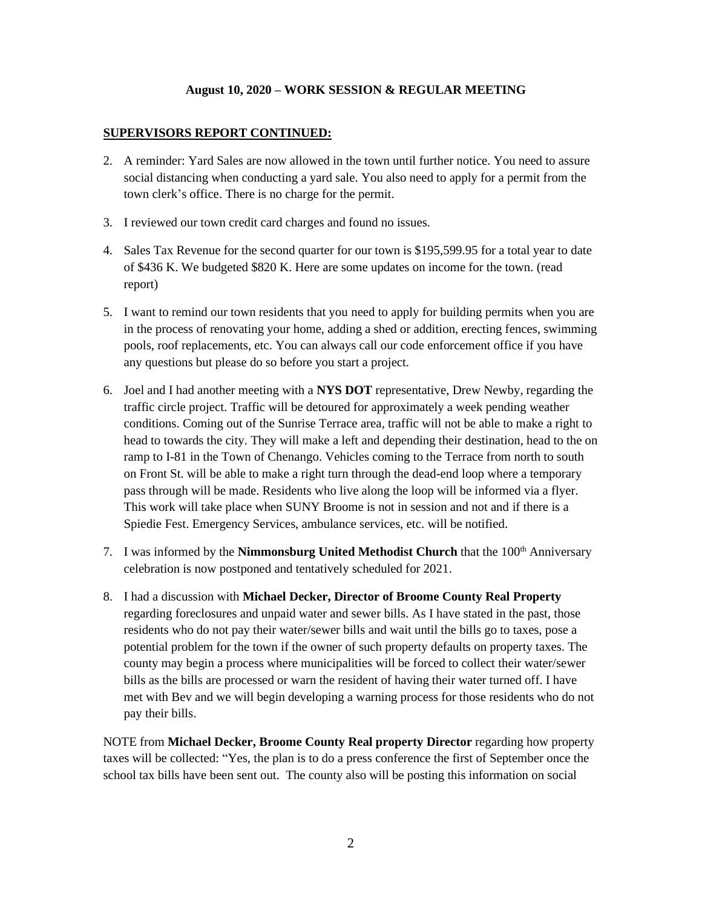#### **SUPERVISORS REPORT CONTINUED:**

- 2. A reminder: Yard Sales are now allowed in the town until further notice. You need to assure social distancing when conducting a yard sale. You also need to apply for a permit from the town clerk's office. There is no charge for the permit.
- 3. I reviewed our town credit card charges and found no issues.
- 4. Sales Tax Revenue for the second quarter for our town is \$195,599.95 for a total year to date of \$436 K. We budgeted \$820 K. Here are some updates on income for the town. (read report)
- 5. I want to remind our town residents that you need to apply for building permits when you are in the process of renovating your home, adding a shed or addition, erecting fences, swimming pools, roof replacements, etc. You can always call our code enforcement office if you have any questions but please do so before you start a project.
- 6. Joel and I had another meeting with a **NYS DOT** representative, Drew Newby, regarding the traffic circle project. Traffic will be detoured for approximately a week pending weather conditions. Coming out of the Sunrise Terrace area, traffic will not be able to make a right to head to towards the city. They will make a left and depending their destination, head to the on ramp to I-81 in the Town of Chenango. Vehicles coming to the Terrace from north to south on Front St. will be able to make a right turn through the dead-end loop where a temporary pass through will be made. Residents who live along the loop will be informed via a flyer. This work will take place when SUNY Broome is not in session and not and if there is a Spiedie Fest. Emergency Services, ambulance services, etc. will be notified.
- 7. I was informed by the **Nimmonsburg United Methodist Church** that the 100<sup>th</sup> Anniversary celebration is now postponed and tentatively scheduled for 2021.
- 8. I had a discussion with **Michael Decker, Director of Broome County Real Property** regarding foreclosures and unpaid water and sewer bills. As I have stated in the past, those residents who do not pay their water/sewer bills and wait until the bills go to taxes, pose a potential problem for the town if the owner of such property defaults on property taxes. The county may begin a process where municipalities will be forced to collect their water/sewer bills as the bills are processed or warn the resident of having their water turned off. I have met with Bev and we will begin developing a warning process for those residents who do not pay their bills.

NOTE from **Michael Decker, Broome County Real property Director** regarding how property taxes will be collected: "Yes, the plan is to do a press conference the first of September once the school tax bills have been sent out. The county also will be posting this information on social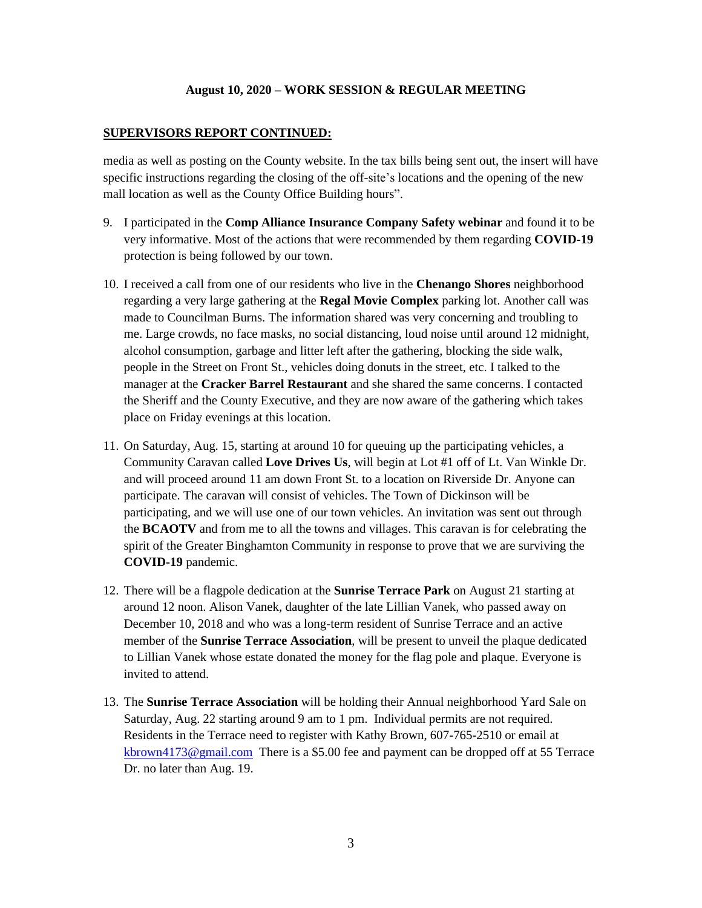#### **SUPERVISORS REPORT CONTINUED:**

media as well as posting on the County website. In the tax bills being sent out, the insert will have specific instructions regarding the closing of the off-site's locations and the opening of the new mall location as well as the County Office Building hours".

- 9. I participated in the **Comp Alliance Insurance Company Safety webinar** and found it to be very informative. Most of the actions that were recommended by them regarding **COVID-19** protection is being followed by our town.
- 10. I received a call from one of our residents who live in the **Chenango Shores** neighborhood regarding a very large gathering at the **Regal Movie Complex** parking lot. Another call was made to Councilman Burns. The information shared was very concerning and troubling to me. Large crowds, no face masks, no social distancing, loud noise until around 12 midnight, alcohol consumption, garbage and litter left after the gathering, blocking the side walk, people in the Street on Front St., vehicles doing donuts in the street, etc. I talked to the manager at the **Cracker Barrel Restaurant** and she shared the same concerns. I contacted the Sheriff and the County Executive, and they are now aware of the gathering which takes place on Friday evenings at this location.
- 11. On Saturday, Aug. 15, starting at around 10 for queuing up the participating vehicles, a Community Caravan called **Love Drives Us**, will begin at Lot #1 off of Lt. Van Winkle Dr. and will proceed around 11 am down Front St. to a location on Riverside Dr. Anyone can participate. The caravan will consist of vehicles. The Town of Dickinson will be participating, and we will use one of our town vehicles. An invitation was sent out through the **BCAOTV** and from me to all the towns and villages. This caravan is for celebrating the spirit of the Greater Binghamton Community in response to prove that we are surviving the **COVID-19** pandemic.
- 12. There will be a flagpole dedication at the **Sunrise Terrace Park** on August 21 starting at around 12 noon. Alison Vanek, daughter of the late Lillian Vanek, who passed away on December 10, 2018 and who was a long-term resident of Sunrise Terrace and an active member of the **Sunrise Terrace Association**, will be present to unveil the plaque dedicated to Lillian Vanek whose estate donated the money for the flag pole and plaque. Everyone is invited to attend.
- 13. The **Sunrise Terrace Association** will be holding their Annual neighborhood Yard Sale on Saturday, Aug. 22 starting around 9 am to 1 pm. Individual permits are not required. Residents in the Terrace need to register with Kathy Brown, 607-765-2510 or email at [kbrown4173@gmail.com](mailto:kbrown4173@gmail.com) There is a \$5.00 fee and payment can be dropped off at 55 Terrace Dr. no later than Aug. 19.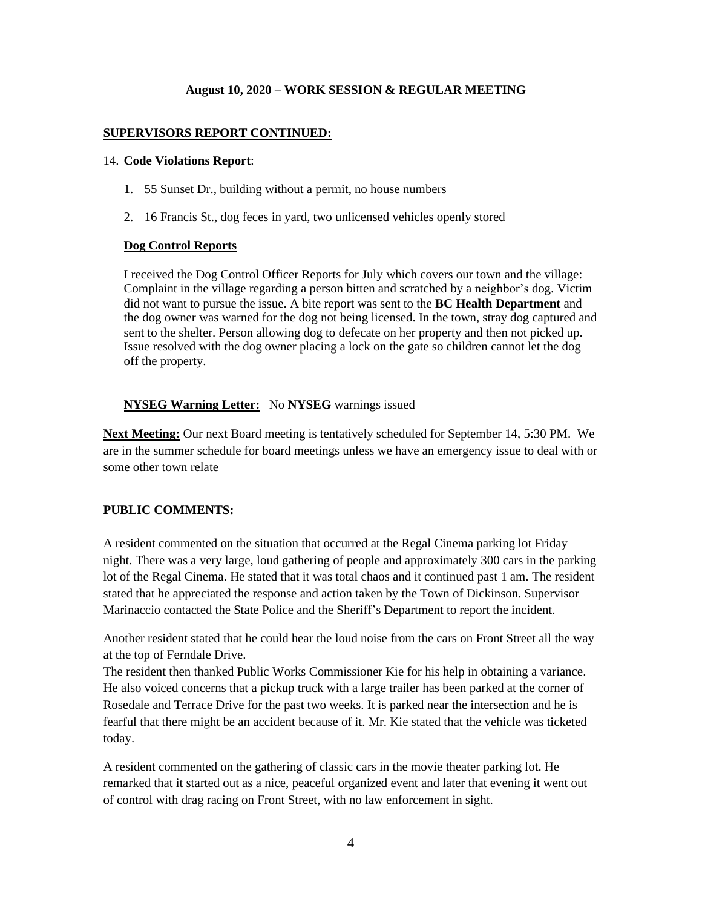## **SUPERVISORS REPORT CONTINUED:**

#### 14. **Code Violations Report**:

- 1. 55 Sunset Dr., building without a permit, no house numbers
- 2. 16 Francis St., dog feces in yard, two unlicensed vehicles openly stored

### **Dog Control Reports**

I received the Dog Control Officer Reports for July which covers our town and the village: Complaint in the village regarding a person bitten and scratched by a neighbor's dog. Victim did not want to pursue the issue. A bite report was sent to the **BC Health Department** and the dog owner was warned for the dog not being licensed. In the town, stray dog captured and sent to the shelter. Person allowing dog to defecate on her property and then not picked up. Issue resolved with the dog owner placing a lock on the gate so children cannot let the dog off the property.

## **NYSEG Warning Letter:** No **NYSEG** warnings issued

**Next Meeting:** Our next Board meeting is tentatively scheduled for September 14, 5:30 PM. We are in the summer schedule for board meetings unless we have an emergency issue to deal with or some other town relate

## **PUBLIC COMMENTS:**

A resident commented on the situation that occurred at the Regal Cinema parking lot Friday night. There was a very large, loud gathering of people and approximately 300 cars in the parking lot of the Regal Cinema. He stated that it was total chaos and it continued past 1 am. The resident stated that he appreciated the response and action taken by the Town of Dickinson. Supervisor Marinaccio contacted the State Police and the Sheriff's Department to report the incident.

Another resident stated that he could hear the loud noise from the cars on Front Street all the way at the top of Ferndale Drive.

The resident then thanked Public Works Commissioner Kie for his help in obtaining a variance. He also voiced concerns that a pickup truck with a large trailer has been parked at the corner of Rosedale and Terrace Drive for the past two weeks. It is parked near the intersection and he is fearful that there might be an accident because of it. Mr. Kie stated that the vehicle was ticketed today.

A resident commented on the gathering of classic cars in the movie theater parking lot. He remarked that it started out as a nice, peaceful organized event and later that evening it went out of control with drag racing on Front Street, with no law enforcement in sight.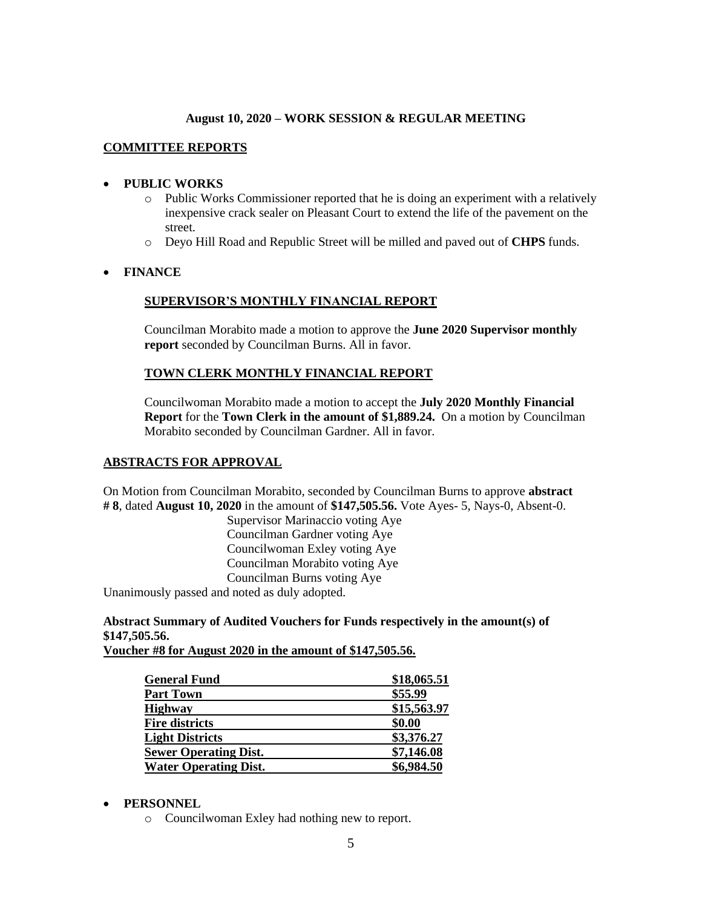### **COMMITTEE REPORTS**

#### • **PUBLIC WORKS**

- o Public Works Commissioner reported that he is doing an experiment with a relatively inexpensive crack sealer on Pleasant Court to extend the life of the pavement on the street.
- o Deyo Hill Road and Republic Street will be milled and paved out of **CHPS** funds.

### • **FINANCE**

#### **SUPERVISOR'S MONTHLY FINANCIAL REPORT**

Councilman Morabito made a motion to approve the **June 2020 Supervisor monthly report** seconded by Councilman Burns. All in favor.

#### **TOWN CLERK MONTHLY FINANCIAL REPORT**

Councilwoman Morabito made a motion to accept the **July 2020 Monthly Financial Report** for the **Town Clerk in the amount of \$1,889.24.** On a motion by Councilman Morabito seconded by Councilman Gardner. All in favor.

#### **ABSTRACTS FOR APPROVAL**

On Motion from Councilman Morabito, seconded by Councilman Burns to approve **abstract # 8**, dated **August 10, 2020** in the amount of **\$147,505.56.** Vote Ayes- 5, Nays-0, Absent-0.

Supervisor Marinaccio voting Aye Councilman Gardner voting Aye Councilwoman Exley voting Aye Councilman Morabito voting Aye Councilman Burns voting Aye

Unanimously passed and noted as duly adopted.

**Abstract Summary of Audited Vouchers for Funds respectively in the amount(s) of \$147,505.56.** 

**Voucher #8 for August 2020 in the amount of \$147,505.56.**

| <b>General Fund</b>          | \$18,065.51 |
|------------------------------|-------------|
| <b>Part Town</b>             | \$55.99     |
| <b>Highway</b>               | \$15,563.97 |
| <b>Fire districts</b>        | \$0.00      |
| <b>Light Districts</b>       | \$3,376.27  |
| <b>Sewer Operating Dist.</b> | \$7,146.08  |
| <b>Water Operating Dist.</b> | \$6,984.50  |

#### • **PERSONNEL**

o Councilwoman Exley had nothing new to report.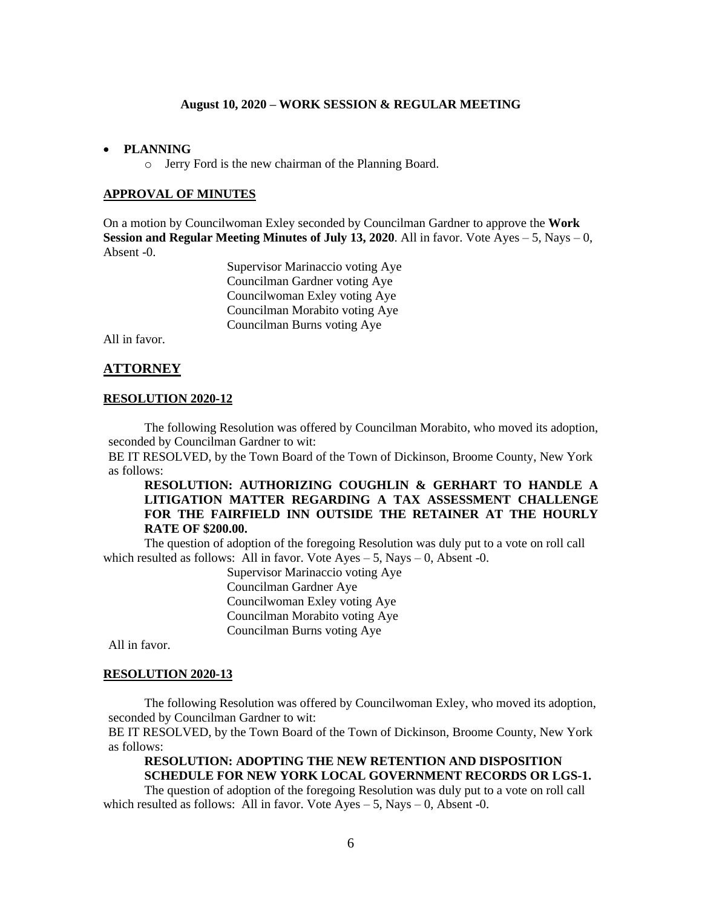#### • **PLANNING**

o Jerry Ford is the new chairman of the Planning Board.

#### **APPROVAL OF MINUTES**

On a motion by Councilwoman Exley seconded by Councilman Gardner to approve the **Work Session and Regular Meeting Minutes of <b>July 13, 2020**. All in favor. Vote Ayes  $-5$ , Nays  $-0$ , Absent -0.

> Supervisor Marinaccio voting Aye Councilman Gardner voting Aye Councilwoman Exley voting Aye Councilman Morabito voting Aye Councilman Burns voting Aye

All in favor.

#### **ATTORNEY**

#### **RESOLUTION 2020-12**

The following Resolution was offered by Councilman Morabito, who moved its adoption, seconded by Councilman Gardner to wit:

BE IT RESOLVED, by the Town Board of the Town of Dickinson, Broome County, New York as follows:

### **RESOLUTION: AUTHORIZING COUGHLIN & GERHART TO HANDLE A LITIGATION MATTER REGARDING A TAX ASSESSMENT CHALLENGE FOR THE FAIRFIELD INN OUTSIDE THE RETAINER AT THE HOURLY RATE OF \$200.00.**

The question of adoption of the foregoing Resolution was duly put to a vote on roll call which resulted as follows: All in favor. Vote  $Ayes - 5$ , Nays  $-0$ , Absent -0.

> Supervisor Marinaccio voting Aye Councilman Gardner Aye Councilwoman Exley voting Aye Councilman Morabito voting Aye Councilman Burns voting Aye

All in favor.

#### **RESOLUTION 2020-13**

The following Resolution was offered by Councilwoman Exley, who moved its adoption, seconded by Councilman Gardner to wit:

BE IT RESOLVED, by the Town Board of the Town of Dickinson, Broome County, New York as follows:

## **RESOLUTION: ADOPTING THE NEW RETENTION AND DISPOSITION SCHEDULE FOR NEW YORK LOCAL GOVERNMENT RECORDS OR LGS-1.**

The question of adoption of the foregoing Resolution was duly put to a vote on roll call which resulted as follows: All in favor. Vote  $Aves - 5$ , Nays  $-0$ , Absent -0.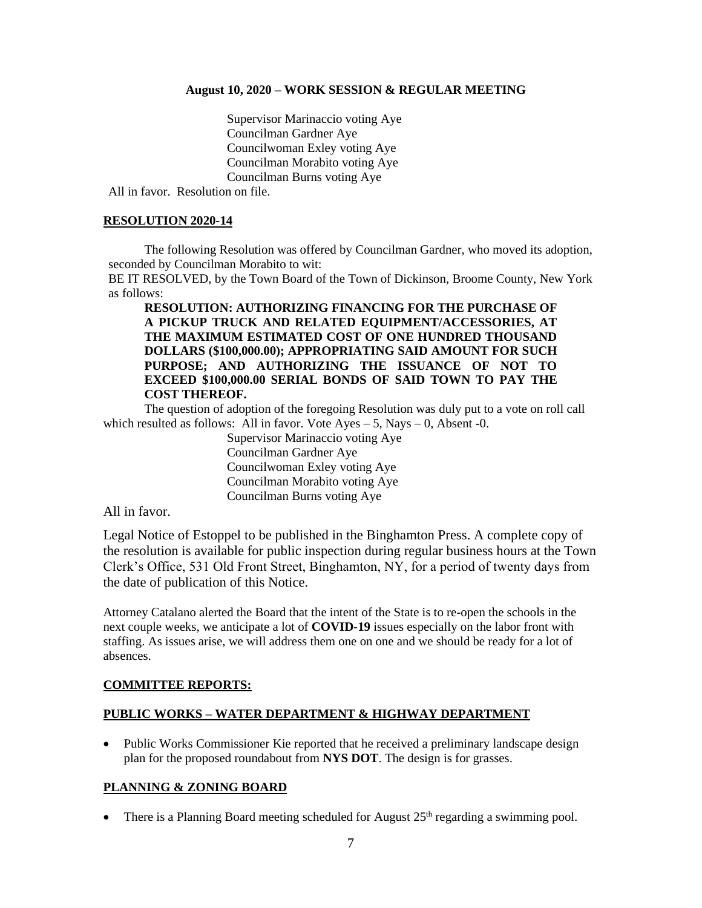Supervisor Marinaccio voting Aye Councilman Gardner Aye Councilwoman Exley voting Aye Councilman Morabito voting Aye Councilman Burns voting Aye

All in favor. Resolution on file.

#### **RESOLUTION 2020-14**

The following Resolution was offered by Councilman Gardner, who moved its adoption, seconded by Councilman Morabito to wit:

BE IT RESOLVED, by the Town Board of the Town of Dickinson, Broome County, New York as follows:

**RESOLUTION: AUTHORIZING FINANCING FOR THE PURCHASE OF A PICKUP TRUCK AND RELATED EQUIPMENT/ACCESSORIES, AT THE MAXIMUM ESTIMATED COST OF ONE HUNDRED THOUSAND DOLLARS (\$100,000.00); APPROPRIATING SAID AMOUNT FOR SUCH PURPOSE; AND AUTHORIZING THE ISSUANCE OF NOT TO EXCEED \$100,000.00 SERIAL BONDS OF SAID TOWN TO PAY THE COST THEREOF.**

The question of adoption of the foregoing Resolution was duly put to a vote on roll call which resulted as follows: All in favor. Vote  $Ayes - 5$ , Nays  $-0$ , Absent -0.

> Supervisor Marinaccio voting Aye Councilman Gardner Aye Councilwoman Exley voting Aye Councilman Morabito voting Aye Councilman Burns voting Aye

All in favor.

Legal Notice of Estoppel to be published in the Binghamton Press. A complete copy of the resolution is available for public inspection during regular business hours at the Town Clerk's Office, 531 Old Front Street, Binghamton, NY, for a period of twenty days from the date of publication of this Notice.

Attorney Catalano alerted the Board that the intent of the State is to re-open the schools in the next couple weeks, we anticipate a lot of **COVID-19** issues especially on the labor front with staffing. As issues arise, we will address them one on one and we should be ready for a lot of absences.

### **COMMITTEE REPORTS:**

#### **PUBLIC WORKS – WATER DEPARTMENT & HIGHWAY DEPARTMENT**

• Public Works Commissioner Kie reported that he received a preliminary landscape design plan for the proposed roundabout from **NYS DOT**. The design is for grasses.

### **PLANNING & ZONING BOARD**

• There is a Planning Board meeting scheduled for August  $25<sup>th</sup>$  regarding a swimming pool.